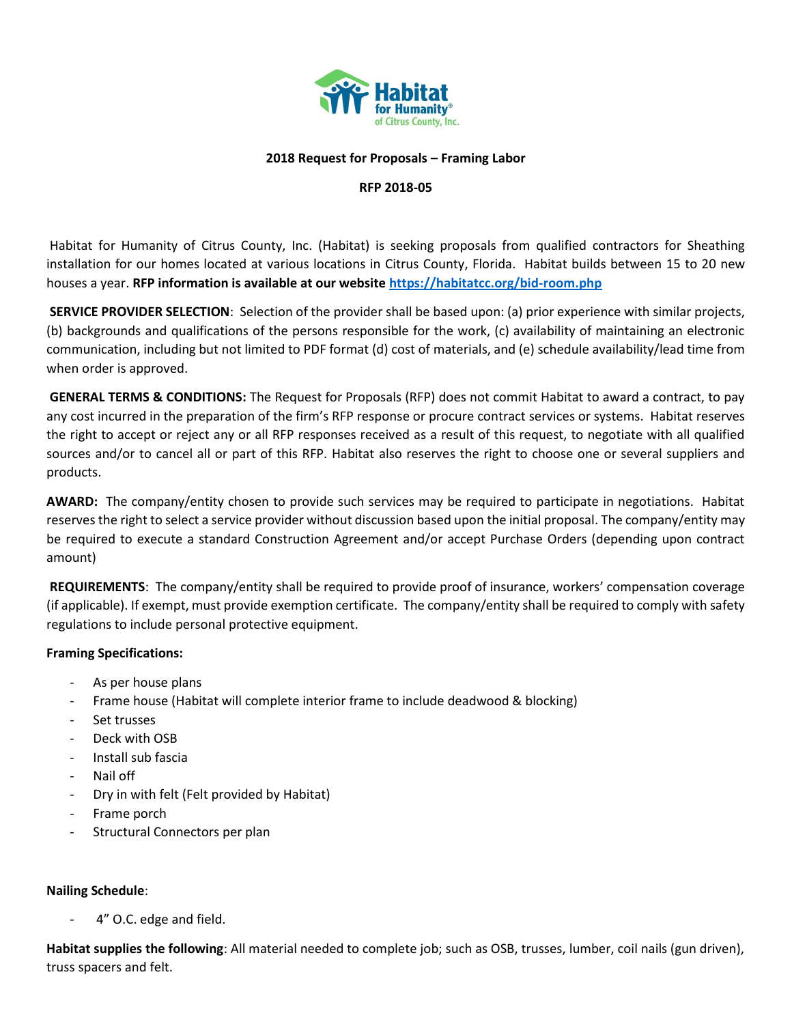

### **2018 Request for Proposals – Framing Labor**

#### **RFP 2018-05**

Habitat for Humanity of Citrus County, Inc. (Habitat) is seeking proposals from qualified contractors for Sheathing installation for our homes located at various locations in Citrus County, Florida. Habitat builds between 15 to 20 new houses a year. **RFP information is available at our website<https://habitatcc.org/bid-room.php>**

**SERVICE PROVIDER SELECTION**: Selection of the provider shall be based upon: (a) prior experience with similar projects, (b) backgrounds and qualifications of the persons responsible for the work, (c) availability of maintaining an electronic communication, including but not limited to PDF format (d) cost of materials, and (e) schedule availability/lead time from when order is approved.

**GENERAL TERMS & CONDITIONS:** The Request for Proposals (RFP) does not commit Habitat to award a contract, to pay any cost incurred in the preparation of the firm's RFP response or procure contract services or systems. Habitat reserves the right to accept or reject any or all RFP responses received as a result of this request, to negotiate with all qualified sources and/or to cancel all or part of this RFP. Habitat also reserves the right to choose one or several suppliers and products.

**AWARD:** The company/entity chosen to provide such services may be required to participate in negotiations. Habitat reserves the right to select a service provider without discussion based upon the initial proposal. The company/entity may be required to execute a standard Construction Agreement and/or accept Purchase Orders (depending upon contract amount)

**REQUIREMENTS**: The company/entity shall be required to provide proof of insurance, workers' compensation coverage (if applicable). If exempt, must provide exemption certificate. The company/entity shall be required to comply with safety regulations to include personal protective equipment.

### **Framing Specifications:**

- As per house plans
- Frame house (Habitat will complete interior frame to include deadwood & blocking)
- Set trusses
- Deck with OSB
- Install sub fascia
- Nail off
- Dry in with felt (Felt provided by Habitat)
- Frame porch
- Structural Connectors per plan

### **Nailing Schedule**:

4" O.C. edge and field.

**Habitat supplies the following**: All material needed to complete job; such as OSB, trusses, lumber, coil nails (gun driven), truss spacers and felt.